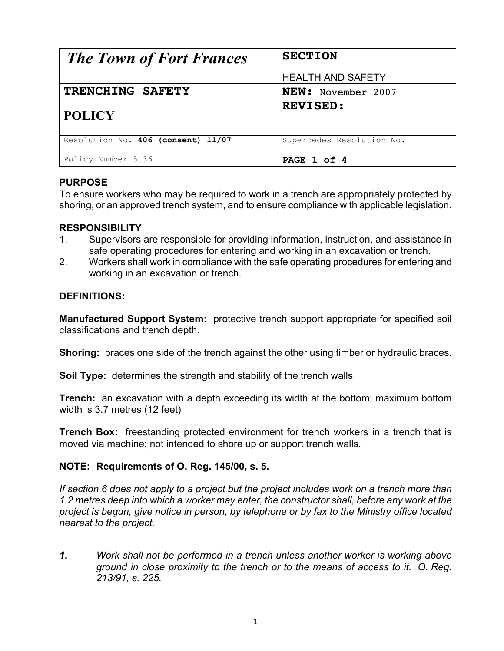| <b>The Town of Fort Frances</b>    | <b>SECTION</b>            |
|------------------------------------|---------------------------|
|                                    | <b>HEALTH AND SAFETY</b>  |
| TRENCHING SAFETY                   | <b>NEW:</b> November 2007 |
| <b>POLICY</b>                      | <b>REVISED:</b>           |
| Resolution No. 406 (consent) 11/07 | Supercedes Resolution No. |
| Policy Number 5.36                 | PAGE 1 of 4               |

### **PURPOSE**

To ensure workers who may be required to work in a trench are appropriately protected by shoring, or an approved trench system, and to ensure compliance with applicable legislation.

#### **RESPONSIBILITY**

- 1. Supervisors are responsible for providing information, instruction, and assistance in safe operating procedures for entering and working in an excavation or trench.
- 2. Workers shall work in compliance with the safe operating procedures for entering and working in an excavation or trench.

### **DEFINITIONS:**

**Manufactured Support System:** protective trench support appropriate for specified soil classifications and trench depth.

**Shoring:** braces one side of the trench against the other using timber or hydraulic braces.

**Soil Type:** determines the strength and stability of the trench walls

**Trench:** an excavation with a depth exceeding its width at the bottom; maximum bottom width is 3.7 metres (12 feet)

**Trench Box:** freestanding protected environment for trench workers in a trench that is moved via machine; not intended to shore up or support trench walls.

#### **NOTE: Requirements of O. Reg. 145/00, s. 5.**

*If section 6 does not apply to a project but the project includes work on a trench more than 1.2 metres deep into which a worker may enter, the constructor shall, before any work at the project is begun, give notice in person, by telephone or by fax to the Ministry office located nearest to the project.*

*1. Work shall not be performed in a trench unless another worker is working above ground in close proximity to the trench or to the means of access to it. O. Reg. 213/91, s. 225.*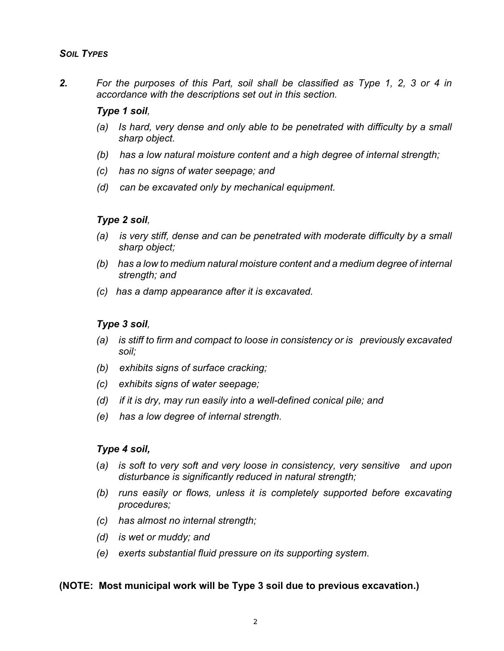*2. For the purposes of this Part, soil shall be classified as Type 1, 2, 3 or 4 in accordance with the descriptions set out in this section.*

#### *Type 1 soil,*

- *(a) Is hard, very dense and only able to be penetrated with difficulty by a small sharp object.*
- *(b) has a low natural moisture content and a high degree of internal strength;*
- *(c) has no signs of water seepage; and*
- *(d) can be excavated only by mechanical equipment.*

### *Type 2 soil,*

- *(a) is very stiff, dense and can be penetrated with moderate difficulty by a small sharp object;*
- *(b) has a low to medium natural moisture content and a medium degree of internal strength; and*
- *(c) has a damp appearance after it is excavated.*

## *Type 3 soil,*

- *(a) is stiff to firm and compact to loose in consistency or is previously excavated soil;*
- *(b) exhibits signs of surface cracking;*
- *(c) exhibits signs of water seepage;*
- *(d) if it is dry, may run easily into a well-defined conical pile; and*
- *(e) has a low degree of internal strength.*

# *Type 4 soil,*

- (*a) is soft to very soft and very loose in consistency, very sensitive and upon disturbance is significantly reduced in natural strength;*
- *(b) runs easily or flows, unless it is completely supported before excavating procedures;*
- *(c) has almost no internal strength;*
- *(d) is wet or muddy; and*
- *(e) exerts substantial fluid pressure on its supporting system*.

#### **(NOTE: Most municipal work will be Type 3 soil due to previous excavation.)**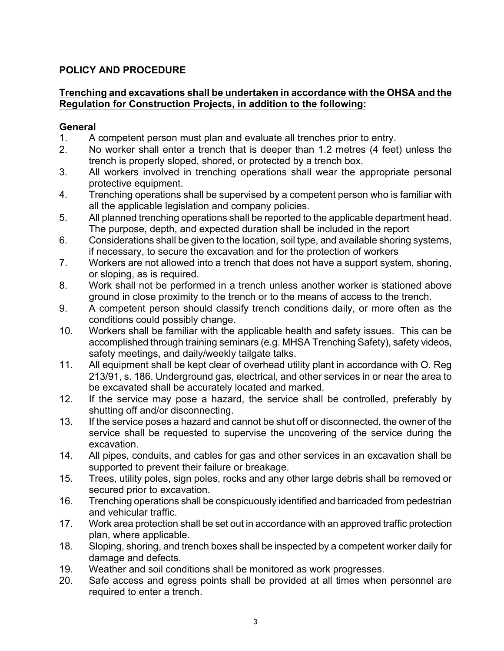# **POLICY AND PROCEDURE**

### **Trenching and excavations shall be undertaken in accordance with the OHSA and the Regulation for Construction Projects, in addition to the following:**

# **General**

- 1. A competent person must plan and evaluate all trenches prior to entry.
- 2. No worker shall enter a trench that is deeper than 1.2 metres (4 feet) unless the trench is properly sloped, shored, or protected by a trench box.
- 3. All workers involved in trenching operations shall wear the appropriate personal protective equipment.
- 4. Trenching operations shall be supervised by a competent person who is familiar with all the applicable legislation and company policies.
- 5. All planned trenching operations shall be reported to the applicable department head. The purpose, depth, and expected duration shall be included in the report
- 6. Considerations shall be given to the location, soil type, and available shoring systems, if necessary, to secure the excavation and for the protection of workers
- 7. Workers are not allowed into a trench that does not have a support system, shoring, or sloping, as is required.
- 8. Work shall not be performed in a trench unless another worker is stationed above ground in close proximity to the trench or to the means of access to the trench.
- 9. A competent person should classify trench conditions daily, or more often as the conditions could possibly change.
- 10. Workers shall be familiar with the applicable health and safety issues. This can be accomplished through training seminars (e.g. MHSA Trenching Safety), safety videos, safety meetings, and daily/weekly tailgate talks.
- 11. All equipment shall be kept clear of overhead utility plant in accordance with O. Reg 213/91, s. 186. Underground gas, electrical, and other services in or near the area to be excavated shall be accurately located and marked.
- 12. If the service may pose a hazard, the service shall be controlled, preferably by shutting off and/or disconnecting.
- 13. If the service poses a hazard and cannot be shut off or disconnected, the owner of the service shall be requested to supervise the uncovering of the service during the excavation.
- 14. All pipes, conduits, and cables for gas and other services in an excavation shall be supported to prevent their failure or breakage.
- 15. Trees, utility poles, sign poles, rocks and any other large debris shall be removed or secured prior to excavation.
- 16. Trenching operations shall be conspicuously identified and barricaded from pedestrian and vehicular traffic.
- 17. Work area protection shall be set out in accordance with an approved traffic protection plan, where applicable.
- 18. Sloping, shoring, and trench boxes shall be inspected by a competent worker daily for damage and defects.
- 19. Weather and soil conditions shall be monitored as work progresses.
- 20. Safe access and egress points shall be provided at all times when personnel are required to enter a trench.